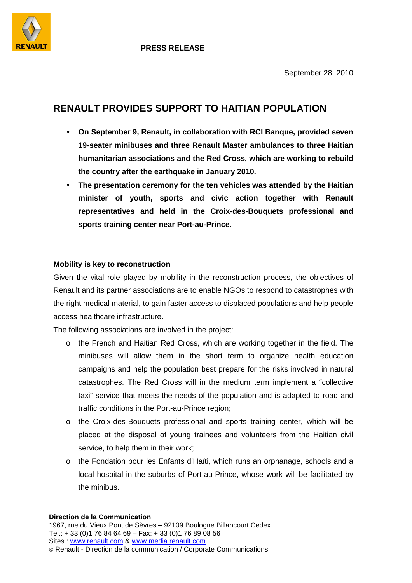

# **RENAULT PROVIDES SUPPORT TO HAITIAN POPULATION**

- **On September 9, Renault, in collaboration with RCI Banque, provided seven 19-seater minibuses and three Renault Master ambulances to three Haitian humanitarian associations and the Red Cross, which are working to rebuild the country after the earthquake in January 2010.**
- **The presentation ceremony for the ten vehicles was attended by the Haitian minister of youth, sports and civic action together with Renault representatives and held in the Croix-des-Bouquets professional and sports training center near Port-au-Prince.**

# **Mobility is key to reconstruction**

Given the vital role played by mobility in the reconstruction process, the objectives of Renault and its partner associations are to enable NGOs to respond to catastrophes with the right medical material, to gain faster access to displaced populations and help people access healthcare infrastructure.

The following associations are involved in the project:

- o the French and Haitian Red Cross, which are working together in the field. The minibuses will allow them in the short term to organize health education campaigns and help the population best prepare for the risks involved in natural catastrophes. The Red Cross will in the medium term implement a "collective taxi" service that meets the needs of the population and is adapted to road and traffic conditions in the Port-au-Prince region;
- o the Croix-des-Bouquets professional and sports training center, which will be placed at the disposal of young trainees and volunteers from the Haitian civil service, to help them in their work;
- o the Fondation pour les Enfants d'Haïti, which runs an orphanage, schools and a local hospital in the suburbs of Port-au-Prince, whose work will be facilitated by the minibus.

#### **Direction de la Communication**